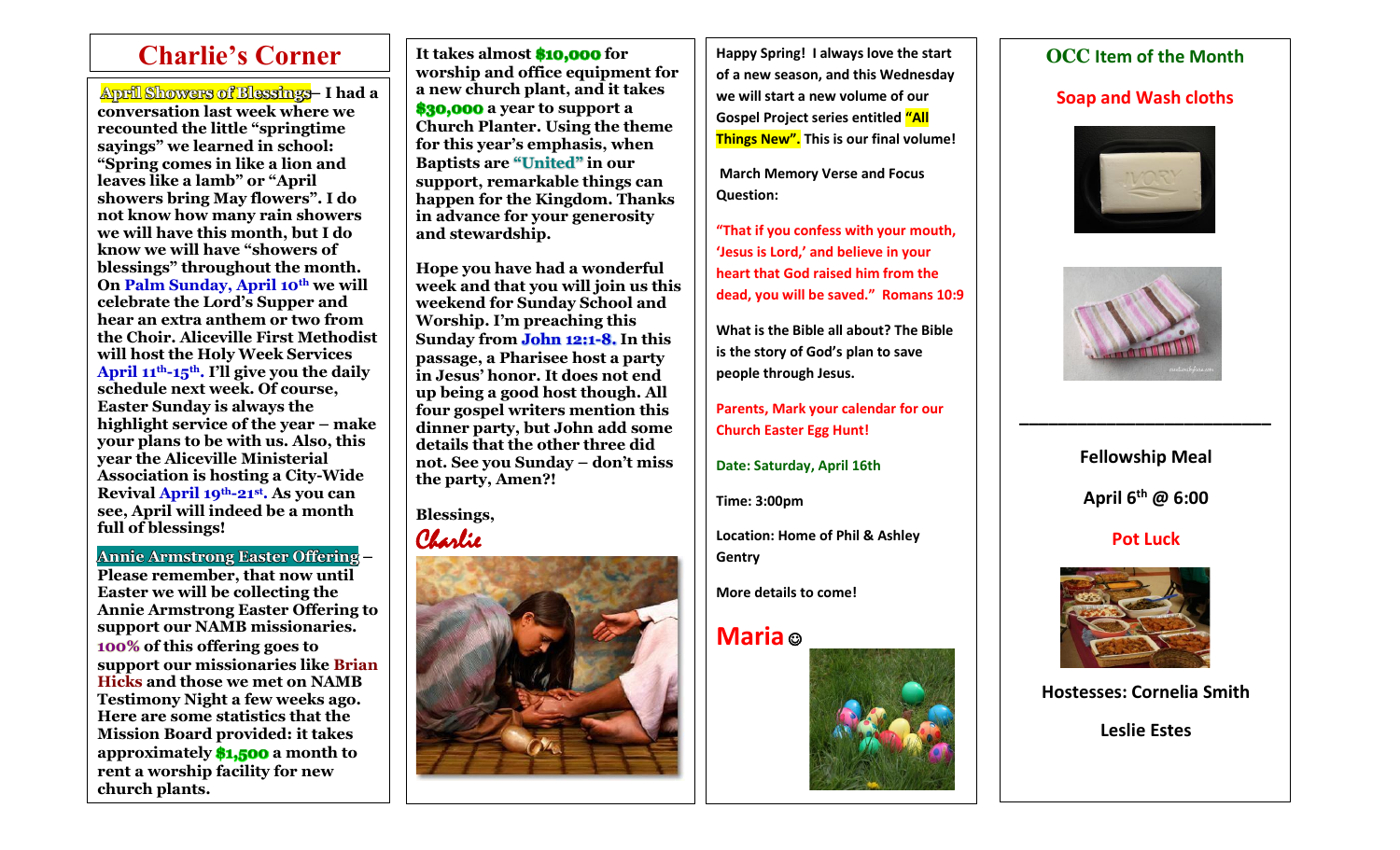$\overline{\phantom{a}}$ 

Appell Showers of Blessings – I had a a a a new church plant, and it takes a security we will start a new volume of our **Appell Showers of Blessings** – I had a a security and wash cloths **conversation last week where we recounted the little "springtime sayings" we learned in school: "Spring comes in like a lion and leaves like a lamb" or "April showers bring May flowers". I do not know how many rain showers we will have this month, but I do know we will have "showers of blessings" throughout the month. On Palm Sunday, April 10th we will celebrate the Lord's Supper and hear an extra anthem or two from the Choir. Aliceville First Methodist will host the Holy Week Services April 11th-15th. I'll give you the daily schedule next week. Of course, Easter Sunday is always the highlight service of the year – make your plans to be with us. Also, this year the Aliceville Ministerial Association is hosting a City-Wide Revival April 19th-21st . As you can see, April will indeed be a month full of blessings!**

**Annie Armstrong Easter Offering – Please remember, that now until Easter we will be collecting the Annie Armstrong Easter Offering to support our NAMB missionaries. 100% of this offering goes to support our missionaries like Brian Hicks and those we met on NAMB Testimony Night a few weeks ago. Here are some statistics that the Mission Board provided: it takes approximately \$1,500 a month to rent a worship facility for new church plants.**

**It takes almost \$10,000 for worship and office equipment for a new church plant, and it takes \$30,000 a year to support a Church Planter. Using the theme for this year's emphasis, when Baptists are "United" in our support, remarkable things can happen for the Kingdom. Thanks in advance for your generosity and stewardship.** 

**Hope you have had a wonderful week and that you will join us this weekend for Sunday School and Worship. I'm preaching this Sunday from John 12:1-8. In this passage, a Pharisee host a party in Jesus' honor. It does not end up being a good host though. All four gospel writers mention this dinner party, but John add some details that the other three did not. See you Sunday – don't miss the party, Amen?!** 

**Blessings,** Charlie



Charlie's Corner | It takes almost \$10,000 for | | Happy Spring! I always love the start | | OCC Item of the Month **Happy Spring! I always love the start of a new season, and this Wednesday we will start a new volume of our Gospel Project series entitled "All Things New". This is our final volume!**

> **March Memory Verse and Focus Question:**

**"That if you confess with your mouth, 'Jesus is Lord,' and believe in your heart that God raised him from the dead, you will be saved." Romans 10:9**

**What is the Bible all about? The Bible is the story of God's plan to save people through Jesus.** 

**Parents, Mark your calendar for our Church Easter Egg Hunt!**

**Date: Saturday, April 16th**

**Time: 3:00pm**

**Location: Home of Phil & Ashley Gentry**

**More details to come!**

# **Maria** ☺







**Fellowship Meal April 6th @ 6:00**

**\_\_\_\_\_\_\_\_\_\_\_\_\_\_\_\_\_\_\_\_\_\_\_\_\_\_**

## **Pot Luck**



**Hostesses: Cornelia Smith**

**Leslie Estes**